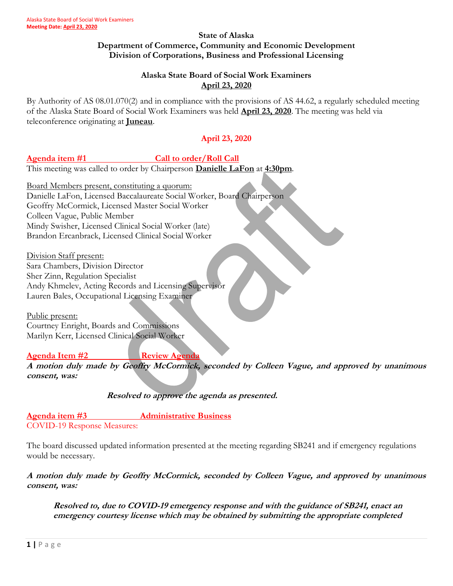#### **State of Alaska Department of Commerce, Community and Economic Development Division of Corporations, Business and Professional Licensing**

## **Alaska State Board of Social Work Examiners April 23, 2020**

By Authority of AS 08.01.070(2) and in compliance with the provisions of AS 44.62, a regularly scheduled meeting of the Alaska State Board of Social Work Examiners was held **April 23, 2020**. The meeting was held via teleconference originating at **Juneau**.

# **April 23, 2020**

### Agenda item #1 Call to order/Roll Call

This meeting was called to order by Chairperson **Danielle LaFon** at **4:30pm**.

Board Members present, constituting a quorum: Danielle LaFon, Licensed Baccalaureate Social Worker, Board Chairperson Geoffry McCormick, Licensed Master Social Worker Colleen Vague, Public Member Mindy Swisher, Licensed Clinical Social Worker (late) Brandon Ercanbrack, Licensed Clinical Social Worker

Division Staff present: Sara Chambers, Division Director Sher Zinn, Regulation Specialist Andy Khmelev, Acting Records and Licensing Supervisor Lauren Bales, Occupational Licensing Examiner

Public present: Courtney Enright, Boards and Commissions Marilyn Kerr, Licensed Clinical Social Worker

### **Agenda Item #2 Review Agenda**

**A motion duly made by Geoffry McCormick, seconded by Colleen Vague, and approved by unanimous consent, was:**

**Resolved to approve the agenda as presented.** 

**Agenda item #3 Administrative Business** COVID-19 Response Measures:

The board discussed updated information presented at the meeting regarding SB241 and if emergency regulations would be necessary.

**A motion duly made by Geoffry McCormick, seconded by Colleen Vague, and approved by unanimous consent, was:**

**Resolved to, due to COVID-19 emergency response and with the guidance of SB241, enact an emergency courtesy license which may be obtained by submitting the appropriate completed**